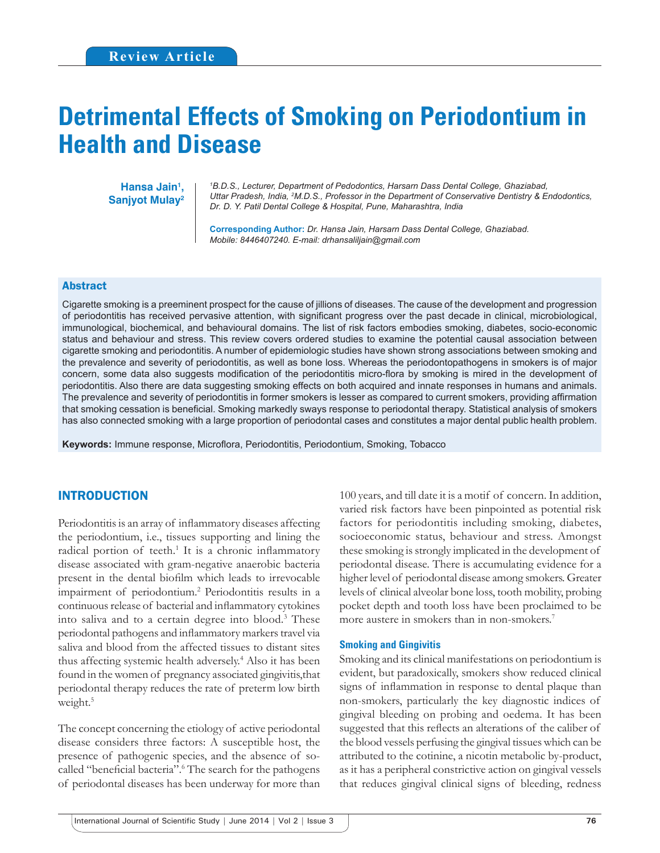# **Detrimental Effects of Smoking on Periodontium in Health and Disease**

Hansa Jain<sup>1</sup>, **Sanjyot Mulay2**

*1 B.D.S., Lecturer, Department of Pedodontics, Harsarn Dass Dental College, Ghaziabad, Uttar Pradesh, India, 2 M.D.S., Professor in the Department of Conservative Dentistry & Endodontics, Dr. D. Y. Patil Dental College & Hospital, Pune, Maharashtra, India*

**Corresponding Author:** *Dr. Hansa Jain, Harsarn Dass Dental College, Ghaziabad. Mobile: 8446407240. E-mail: drhansaliljain@gmail.com*

#### Abstract

Cigarette smoking is a preeminent prospect for the cause of jillions of diseases. The cause of the development and progression of periodontitis has received pervasive attention, with significant progress over the past decade in clinical, microbiological, immunological, biochemical, and behavioural domains. The list of risk factors embodies smoking, diabetes, socio-economic status and behaviour and stress. This review covers ordered studies to examine the potential causal association between cigarette smoking and periodontitis. A number of epidemiologic studies have shown strong associations between smoking and the prevalence and severity of periodontitis, as well as bone loss. Whereas the periodontopathogens in smokers is of major concern, some data also suggests modification of the periodontitis micro-flora by smoking is mired in the development of periodontitis. Also there are data suggesting smoking effects on both acquired and innate responses in humans and animals. The prevalence and severity of periodontitis in former smokers is lesser as compared to current smokers, providing affirmation that smoking cessation is beneficial. Smoking markedly sways response to periodontal therapy. Statistical analysis of smokers has also connected smoking with a large proportion of periodontal cases and constitutes a major dental public health problem.

**Keywords:** Immune response, Microflora, Periodontitis, Periodontium, Smoking, Tobacco

# INTRODUCTION

Periodontitis is an array of inflammatory diseases affecting the periodontium, i.e., tissues supporting and lining the radical portion of teeth.<sup>1</sup> It is a chronic inflammatory disease associated with gram-negative anaerobic bacteria present in the dental biofilm which leads to irrevocable impairment of periodontium.<sup>2</sup> Periodontitis results in a continuous release of bacterial and inflammatory cytokines into saliva and to a certain degree into blood.3 These periodontal pathogens and inflammatory markers travel via saliva and blood from the affected tissues to distant sites thus affecting systemic health adversely.4 Also it has been found in the women of pregnancy associated gingivitis,that periodontal therapy reduces the rate of preterm low birth weight.<sup>5</sup>

The concept concerning the etiology of active periodontal disease considers three factors: A susceptible host, the presence of pathogenic species, and the absence of socalled "beneficial bacteria".<sup>6</sup> The search for the pathogens of periodontal diseases has been underway for more than

100 years, and till date it is a motif of concern. In addition, varied risk factors have been pinpointed as potential risk factors for periodontitis including smoking, diabetes, socioeconomic status, behaviour and stress. Amongst these smoking is strongly implicated in the development of periodontal disease. There is accumulating evidence for a higher level of periodontal disease among smokers. Greater levels of clinical alveolar bone loss, tooth mobility, probing pocket depth and tooth loss have been proclaimed to be more austere in smokers than in non-smokers.<sup>7</sup>

#### **Smoking and Gingivitis**

Smoking and its clinical manifestations on periodontium is evident, but paradoxically, smokers show reduced clinical signs of inflammation in response to dental plaque than non-smokers, particularly the key diagnostic indices of gingival bleeding on probing and oedema. It has been suggested that this reflects an alterations of the caliber of the blood vessels perfusing the gingival tissues which can be attributed to the cotinine, a nicotin metabolic by-product, as it has a peripheral constrictive action on gingival vessels that reduces gingival clinical signs of bleeding, redness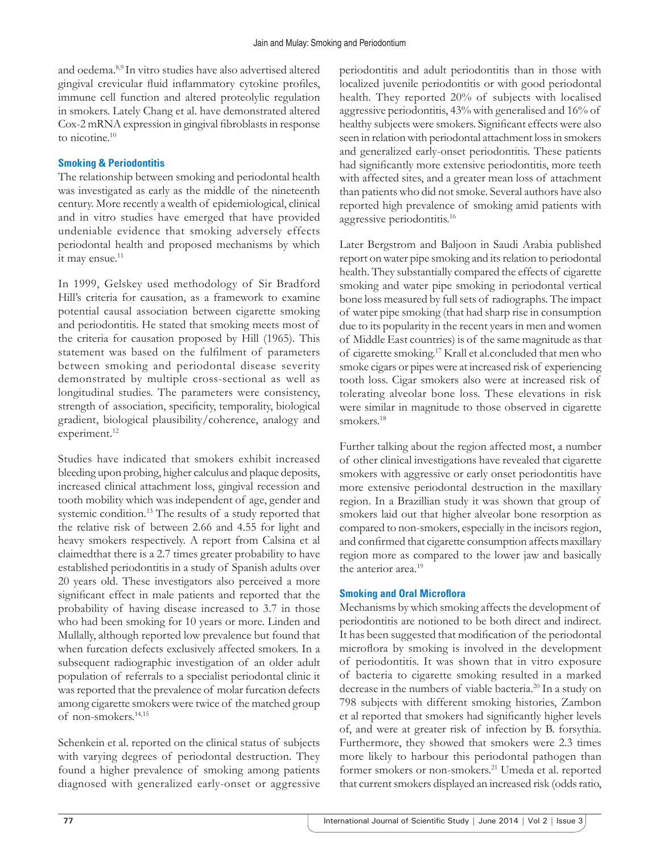and oedema.8,9 In vitro studies have also advertised altered gingival crevicular fluid inflammatory cytokine profiles, immune cell function and altered proteolylic regulation in smokers. Lately Chang et al. have demonstrated altered Cox-2 mRNA expression in gingival fibroblasts in response to nicotine.<sup>10</sup>

## **Smoking & Periodontitis**

The relationship between smoking and periodontal health was investigated as early as the middle of the nineteenth century. More recently a wealth of epidemiological, clinical and in vitro studies have emerged that have provided undeniable evidence that smoking adversely effects periodontal health and proposed mechanisms by which it may ensue. $11$ 

In 1999, Gelskey used methodology of Sir Bradford Hill's criteria for causation, as a framework to examine potential causal association between cigarette smoking and periodontitis. He stated that smoking meets most of the criteria for causation proposed by Hill (1965). This statement was based on the fulfilment of parameters between smoking and periodontal disease severity demonstrated by multiple cross-sectional as well as longitudinal studies. The parameters were consistency, strength of association, specificity, temporality, biological gradient, biological plausibility/coherence, analogy and experiment.<sup>12</sup>

Studies have indicated that smokers exhibit increased bleeding upon probing, higher calculus and plaque deposits, increased clinical attachment loss, gingival recession and tooth mobility which was independent of age, gender and systemic condition.13 The results of a study reported that the relative risk of between 2.66 and 4.55 for light and heavy smokers respectively. A report from Calsina et al claimedthat there is a 2.7 times greater probability to have established periodontitis in a study of Spanish adults over 20 years old. These investigators also perceived a more significant effect in male patients and reported that the probability of having disease increased to 3.7 in those who had been smoking for 10 years or more. Linden and Mullally, although reported low prevalence but found that when furcation defects exclusively affected smokers. In a subsequent radiographic investigation of an older adult population of referrals to a specialist periodontal clinic it was reported that the prevalence of molar furcation defects among cigarette smokers were twice of the matched group of non-smokers.14,15

Schenkein et al. reported on the clinical status of subjects with varying degrees of periodontal destruction. They found a higher prevalence of smoking among patients diagnosed with generalized early-onset or aggressive periodontitis and adult periodontitis than in those with localized juvenile periodontitis or with good periodontal health. They reported 20% of subjects with localised aggressive periodontitis, 43% with generalised and 16% of healthy subjects were smokers. Significant effects were also seen in relation with periodontal attachment loss in smokers and generalized early-onset periodontitis. These patients had significantly more extensive periodontitis, more teeth with affected sites, and a greater mean loss of attachment than patients who did not smoke. Several authors have also reported high prevalence of smoking amid patients with aggressive periodontitis.16

Later Bergstrom and Baljoon in Saudi Arabia published report on water pipe smoking and its relation to periodontal health. They substantially compared the effects of cigarette smoking and water pipe smoking in periodontal vertical bone loss measured by full sets of radiographs. The impact of water pipe smoking (that had sharp rise in consumption due to its popularity in the recent years in men and women of Middle East countries) is of the same magnitude as that of cigarette smoking.17 Krall et al.concluded that men who smoke cigars or pipes were at increased risk of experiencing tooth loss. Cigar smokers also were at increased risk of tolerating alveolar bone loss. These elevations in risk were similar in magnitude to those observed in cigarette smokers.18

Further talking about the region affected most, a number of other clinical investigations have revealed that cigarette smokers with aggressive or early onset periodontitis have more extensive periodontal destruction in the maxillary region. In a Brazillian study it was shown that group of smokers laid out that higher alveolar bone resorption as compared to non-smokers, especially in the incisors region, and confirmed that cigarette consumption affects maxillary region more as compared to the lower jaw and basically the anterior area.19

## **Smoking and Oral Microflora**

Mechanisms by which smoking affects the development of periodontitis are notioned to be both direct and indirect. It has been suggested that modification of the periodontal microflora by smoking is involved in the development of periodontitis. It was shown that in vitro exposure of bacteria to cigarette smoking resulted in a marked decrease in the numbers of viable bacteria.<sup>20</sup> In a study on 798 subjects with different smoking histories, Zambon et al reported that smokers had significantly higher levels of, and were at greater risk of infection by B. forsythia. Furthermore, they showed that smokers were 2.3 times more likely to harbour this periodontal pathogen than former smokers or non-smokers.21 Umeda et al. reported that current smokers displayed an increased risk (odds ratio,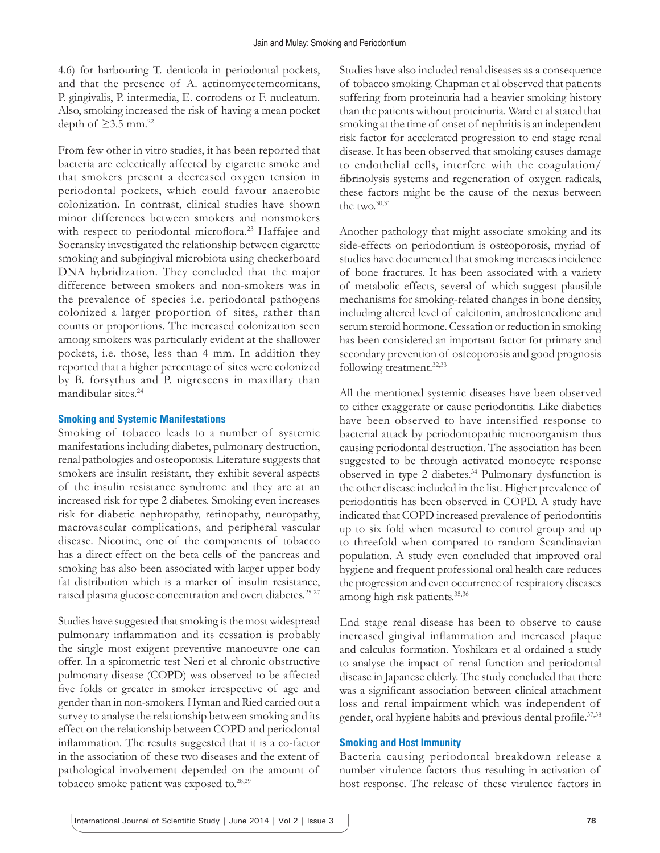4.6) for harbouring T. denticola in periodontal pockets, and that the presence of A. actinomycetemcomitans, P. gingivalis, P. intermedia, E. corrodens or F. nucleatum. Also, smoking increased the risk of having a mean pocket depth of  $\geq$ 3.5 mm.<sup>22</sup>

From few other in vitro studies, it has been reported that bacteria are eclectically affected by cigarette smoke and that smokers present a decreased oxygen tension in periodontal pockets, which could favour anaerobic colonization. In contrast, clinical studies have shown minor differences between smokers and nonsmokers with respect to periodontal microflora.<sup>23</sup> Haffajee and Socransky investigated the relationship between cigarette smoking and subgingival microbiota using checkerboard DNA hybridization. They concluded that the major difference between smokers and non-smokers was in the prevalence of species i.e. periodontal pathogens colonized a larger proportion of sites, rather than counts or proportions. The increased colonization seen among smokers was particularly evident at the shallower pockets, i.e. those, less than 4 mm. In addition they reported that a higher percentage of sites were colonized by B. forsythus and P. nigrescens in maxillary than mandibular sites.24

#### **Smoking and Systemic Manifestations**

Smoking of tobacco leads to a number of systemic manifestations including diabetes, pulmonary destruction, renal pathologies and osteoporosis. Literature suggests that smokers are insulin resistant, they exhibit several aspects of the insulin resistance syndrome and they are at an increased risk for type 2 diabetes. Smoking even increases risk for diabetic nephropathy, retinopathy, neuropathy, macrovascular complications, and peripheral vascular disease. Nicotine, one of the components of tobacco has a direct effect on the beta cells of the pancreas and smoking has also been associated with larger upper body fat distribution which is a marker of insulin resistance, raised plasma glucose concentration and overt diabetes.25-27

Studies have suggested that smoking is the most widespread pulmonary inflammation and its cessation is probably the single most exigent preventive manoeuvre one can offer. In a spirometric test Neri et al chronic obstructive pulmonary disease (COPD) was observed to be affected five folds or greater in smoker irrespective of age and gender than in non-smokers. Hyman and Ried carried out a survey to analyse the relationship between smoking and its effect on the relationship between COPD and periodontal inflammation. The results suggested that it is a co-factor in the association of these two diseases and the extent of pathological involvement depended on the amount of tobacco smoke patient was exposed to.<sup>28,29</sup>

Studies have also included renal diseases as a consequence of tobacco smoking. Chapman et al observed that patients suffering from proteinuria had a heavier smoking history than the patients without proteinuria. Ward et al stated that smoking at the time of onset of nephritis is an independent risk factor for accelerated progression to end stage renal disease. It has been observed that smoking causes damage to endothelial cells, interfere with the coagulation/ fibrinolysis systems and regeneration of oxygen radicals, these factors might be the cause of the nexus between the two. $30,31$ 

Another pathology that might associate smoking and its side-effects on periodontium is osteoporosis, myriad of studies have documented that smoking increases incidence of bone fractures. It has been associated with a variety of metabolic effects, several of which suggest plausible mechanisms for smoking-related changes in bone density, including altered level of calcitonin, androstenedione and serum steroid hormone. Cessation or reduction in smoking has been considered an important factor for primary and secondary prevention of osteoporosis and good prognosis following treatment.<sup>32,33</sup>

All the mentioned systemic diseases have been observed to either exaggerate or cause periodontitis. Like diabetics have been observed to have intensified response to bacterial attack by periodontopathic microorganism thus causing periodontal destruction. The association has been suggested to be through activated monocyte response observed in type 2 diabetes.<sup>34</sup> Pulmonary dysfunction is the other disease included in the list. Higher prevalence of periodontitis has been observed in COPD. A study have indicated that COPD increased prevalence of periodontitis up to six fold when measured to control group and up to threefold when compared to random Scandinavian population. A study even concluded that improved oral hygiene and frequent professional oral health care reduces the progression and even occurrence of respiratory diseases among high risk patients.<sup>35,36</sup>

End stage renal disease has been to observe to cause increased gingival inflammation and increased plaque and calculus formation. Yoshikara et al ordained a study to analyse the impact of renal function and periodontal disease in Japanese elderly. The study concluded that there was a significant association between clinical attachment loss and renal impairment which was independent of gender, oral hygiene habits and previous dental profile.<sup>37,38</sup>

#### **Smoking and Host Immunity**

Bacteria causing periodontal breakdown release a number virulence factors thus resulting in activation of host response. The release of these virulence factors in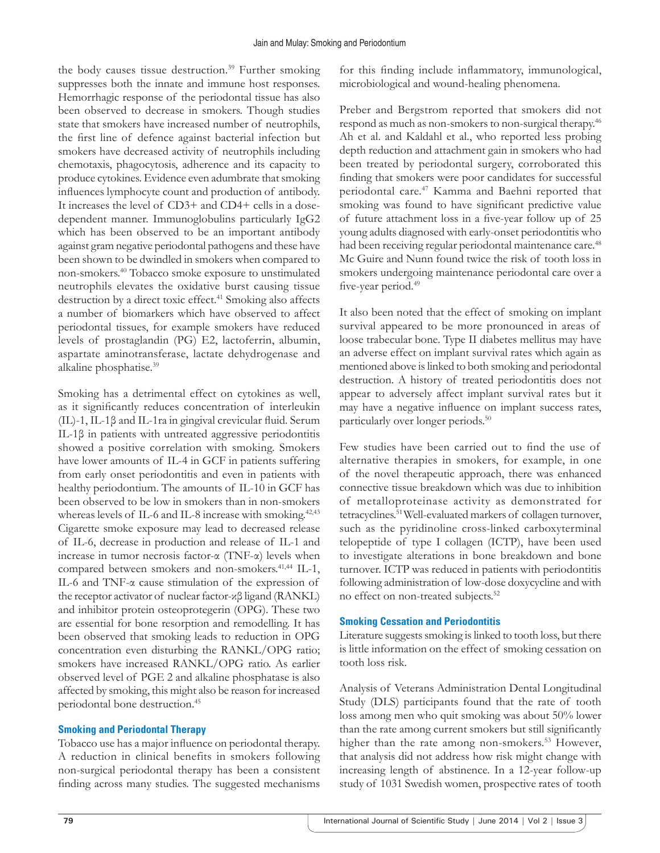the body causes tissue destruction.<sup>39</sup> Further smoking suppresses both the innate and immune host responses. Hemorrhagic response of the periodontal tissue has also been observed to decrease in smokers. Though studies state that smokers have increased number of neutrophils, the first line of defence against bacterial infection but smokers have decreased activity of neutrophils including chemotaxis, phagocytosis, adherence and its capacity to produce cytokines. Evidence even adumbrate that smoking influences lymphocyte count and production of antibody. It increases the level of CD3+ and CD4+ cells in a dosedependent manner. Immunoglobulins particularly IgG2 which has been observed to be an important antibody against gram negative periodontal pathogens and these have been shown to be dwindled in smokers when compared to non-smokers.40 Tobacco smoke exposure to unstimulated neutrophils elevates the oxidative burst causing tissue destruction by a direct toxic effect.<sup>41</sup> Smoking also affects a number of biomarkers which have observed to affect periodontal tissues, for example smokers have reduced levels of prostaglandin (PG) E2, lactoferrin, albumin, aspartate aminotransferase, lactate dehydrogenase and alkaline phosphatise.39

Smoking has a detrimental effect on cytokines as well, as it significantly reduces concentration of interleukin (IL)-1, IL-1β and IL-1ra in gingival crevicular fluid. Serum IL-1β in patients with untreated aggressive periodontitis showed a positive correlation with smoking. Smokers have lower amounts of IL-4 in GCF in patients suffering from early onset periodontitis and even in patients with healthy periodontium. The amounts of IL-10 in GCF has been observed to be low in smokers than in non-smokers whereas levels of IL-6 and IL-8 increase with smoking.<sup>42,43</sup> Cigarette smoke exposure may lead to decreased release of IL-6, decrease in production and release of IL-1 and increase in tumor necrosis factor-α (TNF-α) levels when compared between smokers and non-smokers.<sup>41,44</sup> IL-1, IL-6 and TNF-α cause stimulation of the expression of the receptor activator of nuclear factor-κβ ligand (RANKL) and inhibitor protein osteoprotegerin (OPG). These two are essential for bone resorption and remodelling. It has been observed that smoking leads to reduction in OPG concentration even disturbing the RANKL/OPG ratio; smokers have increased RANKL/OPG ratio. As earlier observed level of PGE 2 and alkaline phosphatase is also affected by smoking, this might also be reason for increased periodontal bone destruction.45

# **Smoking and Periodontal Therapy**

Tobacco use has a major influence on periodontal therapy. A reduction in clinical benefits in smokers following non-surgical periodontal therapy has been a consistent finding across many studies. The suggested mechanisms

for this finding include inflammatory, immunological, microbiological and wound-healing phenomena.

Preber and Bergstrom reported that smokers did not respond as much as non-smokers to non-surgical therapy.46 Ah et al. and Kaldahl et al., who reported less probing depth reduction and attachment gain in smokers who had been treated by periodontal surgery, corroborated this finding that smokers were poor candidates for successful periodontal care.<sup>47</sup> Kamma and Baehni reported that smoking was found to have significant predictive value of future attachment loss in a five-year follow up of 25 young adults diagnosed with early-onset periodontitis who had been receiving regular periodontal maintenance care.<sup>48</sup> Mc Guire and Nunn found twice the risk of tooth loss in smokers undergoing maintenance periodontal care over a five-year period.<sup>49</sup>

It also been noted that the effect of smoking on implant survival appeared to be more pronounced in areas of loose trabecular bone. Type II diabetes mellitus may have an adverse effect on implant survival rates which again as mentioned above is linked to both smoking and periodontal destruction. A history of treated periodontitis does not appear to adversely affect implant survival rates but it may have a negative influence on implant success rates, particularly over longer periods.50

Few studies have been carried out to find the use of alternative therapies in smokers, for example, in one of the novel therapeutic approach, there was enhanced connective tissue breakdown which was due to inhibition of metalloproteinase activity as demonstrated for tetracyclines.51 Well-evaluated markers of collagen turnover, such as the pyridinoline cross-linked carboxyterminal telopeptide of type I collagen (ICTP), have been used to investigate alterations in bone breakdown and bone turnover. ICTP was reduced in patients with periodontitis following administration of low-dose doxycycline and with no effect on non-treated subjects.<sup>52</sup>

# **Smoking Cessation and Periodontitis**

Literature suggests smoking is linked to tooth loss, but there is little information on the effect of smoking cessation on tooth loss risk.

Analysis of Veterans Administration Dental Longitudinal Study (DLS) participants found that the rate of tooth loss among men who quit smoking was about 50% lower than the rate among current smokers but still significantly higher than the rate among non-smokers.<sup>53</sup> However, that analysis did not address how risk might change with increasing length of abstinence. In a 12-year follow-up study of 1031 Swedish women, prospective rates of tooth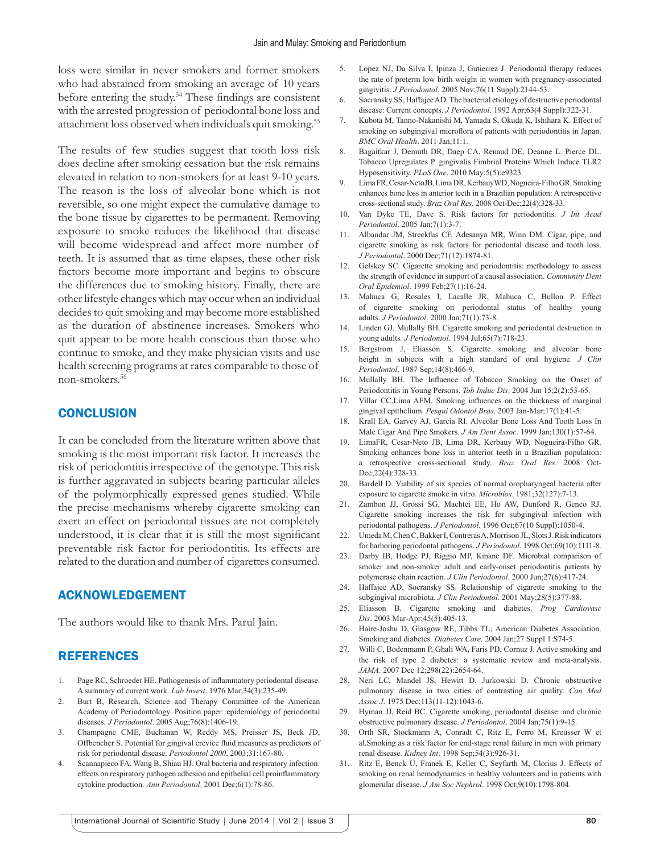loss were similar in never smokers and former smokers who had abstained from smoking an average of 10 years before entering the study.<sup>54</sup> These findings are consistent with the arrested progression of periodontal bone loss and attachment loss observed when individuals quit smoking.<sup>55</sup>

The results of few studies suggest that tooth loss risk does decline after smoking cessation but the risk remains elevated in relation to non-smokers for at least 9-10 years. The reason is the loss of alveolar bone which is not reversible, so one might expect the cumulative damage to the bone tissue by cigarettes to be permanent. Removing exposure to smoke reduces the likelihood that disease will become widespread and affect more number of teeth. It is assumed that as time elapses, these other risk factors become more important and begins to obscure the differences due to smoking history. Finally, there are other lifestyle changes which may occur when an individual decides to quit smoking and may become more established as the duration of abstinence increases. Smokers who quit appear to be more health conscious than those who continue to smoke, and they make physician visits and use health screening programs at rates comparable to those of non-smokers.56

## **CONCLUSION**

It can be concluded from the literature written above that smoking is the most important risk factor. It increases the risk of periodontitis irrespective of the genotype. This risk is further aggravated in subjects bearing particular alleles of the polymorphically expressed genes studied. While the precise mechanisms whereby cigarette smoking can exert an effect on periodontal tissues are not completely understood, it is clear that it is still the most significant preventable risk factor for periodontitis. Its effects are related to the duration and number of cigarettes consumed.

## ACKNOWLEDGEMENT

The authors would like to thank Mrs. Parul Jain.

# REFERENCES

- 1. Page RC, Schroeder HE. Pathogenesis of inflammatory periodontal disease. A summary of current work. *Lab Invest*. 1976 Mar;34(3):235-49.
- 2. Burt B, Research, Science and Therapy Committee of the American Academy of Periodontology. Position paper: epidemiology of periodontal diseases*. J Periodontol*. 2005 Aug;76(8):1406-19.
- Champagne CME, Buchanan W, Reddy MS, Preisser JS, Beck JD, Offbencher S. Potential for gingival crevice fluid measures as predictors of risk for periodontal disease. *Periodontol 2000*. 2003;31:167-80.
- 4. Scannapieco FA, Wang B, Shiau HJ. Oral bacteria and respiratory infection: effects on respiratory pathogen adhesion and epithelial cell proinflammatory cytokine production. *Ann Periodontol*. 2001 Dec;6(1):78-86.
- 5. Lopez NJ, Da Silva I, Ipinza J, Gutierrez J. Periodontal therapy reduces the rate of preterm low birth weight in women with pregnancy-associated gingivitis. *J Periodontol*. 2005 Nov;76(11 Suppl):2144-53.
- 6. Socransky SS, HaffajeeAD.The bacterial etiology of destructive periodontal disease: Current concepts. *J Periodontol*. 1992 Apr;63(4 Suppl):322-31.
- 7. Kubota M, Tanno-Nakanishi M, Yamada S, Okuda K, Ishihara K. Effect of smoking on subgingival microflora of patients with periodontitis in Japan. *BMC Oral Health*. 2011 Jan;11:1.
- 8. Bagaitkar J, Demuth DR, Daep CA, Renaud DE, Deanne L. Pierce DL. Tobacco Upregulates P. gingivalis Fimbrial Proteins Which Induce TLR2 Hyposensitivity. *PLoS One*. 2010 May;5(5):e9323.
- 9. LimaFR,Cesar-NetoJB,LimaDR,KerbauyWD,Nogueira-FilhoGR.Smoking enhances bone loss in anterior teeth in a Brazilian population: A retrospective cross-sectional study. *Braz Oral Res*. 2008 Oct-Dec;22(4):328-33.
- 10. Van Dyke TE, Dave S. Risk factors for periodontitis. *J Int Acad Periodontol*. 2005 Jan;7(1):3-7.
- 11. Albandar JM, Streckfus CF, Adesanya MR, Winn DM. Cigar, pipe, and cigarette smoking as risk factors for periodontal disease and tooth loss. *J Periodontol*. 2000 Dec;71(12):1874-81.
- 12. Gelskey SC. Cigarette smoking and periodontitis: methodology to assess the strength of evidence in support of a causal association. *Community Dent Oral Epidemiol*. 1999 Feb;27(1):16-24.
- 13. Mahuca G, Rosales I, Lacalle JR, Mahuca C, Bullon P. Effect of cigarette smoking on periodontal status of healthy young adults. *J Periodontol*. 2000 Jan;71(1):73-8.
- 14. Linden GJ, Mullally BH. Cigarette smoking and periodontal destruction in young adults*. J Periodontol*. 1994 Jul;65(7):718-23.
- 15. Bergstrom J, Eliasson S. Cigarette smoking and alveolar bone height in subjects with a high standard of oral hygiene. *J Clin Periodontol*. 1987 Sep;14(8):466-9.
- 16. Mullally BH. The Influence of Tobacco Smoking on the Onset of Periodontitis in Young Persons. *Tob Induc Dis*. 2004 Jun 15;2(2):53-65.
- 17. Villar CC, Lima AFM. Smoking influences on the thickness of marginal gingival epithelium. *Pesqui Odontol Bras*. 2003 Jan-Mar;17(1):41-5.
- 18. Krall EA, Garvey AJ, Garcia RI. Alveolar Bone Loss And Tooth Loss In Male Cigar And Pipe Smokers. *J Am Dent Assoc*. 1999 Jan;130(1):57-64.
- 19. LimaFR, Cesar-Neto JB, Lima DR, Kerbauy WD, Nogueira-Filho GR. Smoking enhances bone loss in anterior teeth in a Brazilian population: a retrospective cross-sectional study. *Braz Oral Res*. 2008 Oct-Dec: 22(4): 328-33.
- 20. Bardell D. Viability of six species of normal oropharyngeal bacteria after exposure to cigarette smoke in vitro. *Microbios*. 1981;32(127):7-13.
- 21. Zambon JJ, Grossi SG, Machtei EE, Ho AW, Dunford R, Genco RJ. Cigarette smoking increases the risk for subgingival infection with periodontal pathogens. *J Periodontol*. 1996 Oct;67(10 Suppl):1050-4.
- 22. Umeda M, Chen C, Bakker I, Contreras A, Morrison JL, Slots J. Risk indicators for harboring periodontal pathogens. *J Periodontol*. 1998 Oct;69(10):1111-8.
- 23. Darby IB, Hodge PJ, Riggio MP, Kinane DF. Microbial comparison of smoker and non-smoker adult and early-onset periodontitis patients by polymerase chain reaction. *J Clin Periodontol*. 2000 Jun;27(6):417-24.
- 24. Haffajee AD, Socransky SS. Relationship of cigarette smoking to the subgingival microbiota. *J Clin Periodontol*. 2001 May;28(5):377-88.
- 25. Eliasson B. Cigarette smoking and diabetes. *Prog Cardiovasc Dis*. 2003 Mar-Apr;45(5):405-13.
- 26. Haire-Joshu D, Glasgow RE, Tibbs TL; American Diabetes Association. Smoking and diabetes. *Diabetes Care*. 2004 Jan;27 Suppl 1:S74-5.
- 27. Willi C, Bodenmann P, Ghali WA, Faris PD, Cornuz J. Active smoking and the risk of type 2 diabetes: a systematic review and meta-analysis. *JAMA*. 2007 Dec 12;298(22):2654-64.
- 28. Neri LC, Mandel JS, Hewitt D, Jurkowski D. Chronic obstructive pulmonary disease in two cities of contrasting air quality. *Can Med Assoc J*. 1975 Dec;113(11-12):1043-6.
- 29. Hyman JJ, Reid BC. Cigarette smoking, periodontal disease: and chronic obstructive pulmonary disease. *J Periodontol*. 2004 Jan;75(1):9-15.
- 30. Orth SR, Stockmann A, Conradt C, Ritz E, Ferro M, Kreusser W et al.Smoking as a risk factor for end-stage renal failure in men with primary renal disease. *Kidney Int*. 1998 Sep;54(3):926-31.
- 31. Ritz E, Benck U, Franek E, Keller C, Seyfarth M, Clorius J. Effects of smoking on renal hemodynamics in healthy volunteers and in patients with glomerular disease. *J Am Soc Nephrol*. 1998 Oct;9(10):1798-804.